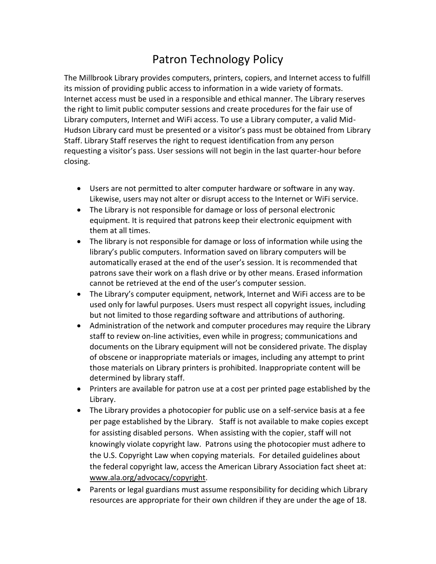## Patron Technology Policy

The Millbrook Library provides computers, printers, copiers, and Internet access to fulfill its mission of providing public access to information in a wide variety of formats. Internet access must be used in a responsible and ethical manner. The Library reserves the right to limit public computer sessions and create procedures for the fair use of Library computers, Internet and WiFi access. To use a Library computer, a valid Mid-Hudson Library card must be presented or a visitor's pass must be obtained from Library Staff. Library Staff reserves the right to request identification from any person requesting a visitor's pass. User sessions will not begin in the last quarter-hour before closing.

- Users are not permitted to alter computer hardware or software in any way. Likewise, users may not alter or disrupt access to the Internet or WiFi service.
- The Library is not responsible for damage or loss of personal electronic equipment. It is required that patrons keep their electronic equipment with them at all times.
- The library is not responsible for damage or loss of information while using the library's public computers. Information saved on library computers will be automatically erased at the end of the user's session. It is recommended that patrons save their work on a flash drive or by other means. Erased information cannot be retrieved at the end of the user's computer session.
- The Library's computer equipment, network, Internet and WiFi access are to be used only for lawful purposes. Users must respect all copyright issues, including but not limited to those regarding software and attributions of authoring.
- Administration of the network and computer procedures may require the Library staff to review on-line activities, even while in progress; communications and documents on the Library equipment will not be considered private. The display of obscene or inappropriate materials or images, including any attempt to print those materials on Library printers is prohibited. Inappropriate content will be determined by library staff.
- Printers are available for patron use at a cost per printed page established by the Library.
- The Library provides a photocopier for public use on a self-service basis at a fee per page established by the Library. Staff is not available to make copies except for assisting disabled persons. When assisting with the copier, staff will not knowingly violate copyright law. Patrons using the photocopier must adhere to the U.S. Copyright Law when copying materials. For detailed guidelines about the federal copyright law, access the American Library Association fact sheet at: [www.ala.org/advocacy/copyright.](http://www.ala.org/advocacy/copyright)
- Parents or legal guardians must assume responsibility for deciding which Library resources are appropriate for their own children if they are under the age of 18.